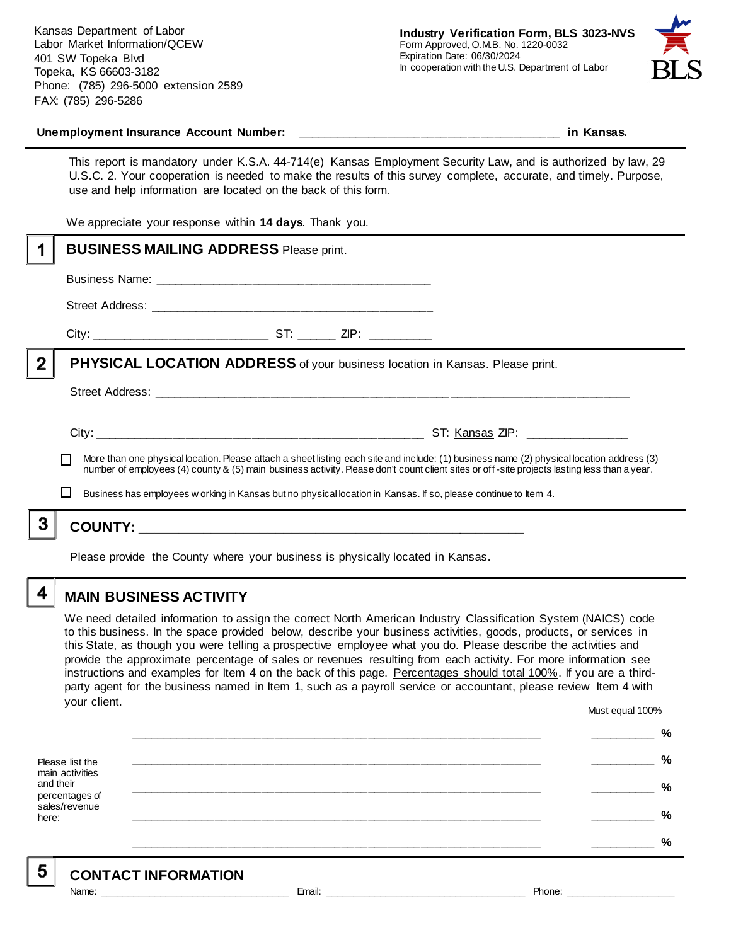Kansas Department of Labor Labor Market Information/QCEW 401 SW Topeka Blvd Topeka, KS 66603-3182 Phone: (785) 296-5000 extension 2589 FAX: (785) 296-5286



#### Unemployment Insurance Account Number: **with a set of the set of the set of the set of the set of the set of the set of the set of the set of the set of the set of the set of the set of the set of the set of the set of the**

This report is mandatory under K.S.A. 44-714(e) Kansas Employment Security Law, and is authorized by law, 29 U.S.C. 2. Your cooperation is needed to make the results of this survey complete, accurate, and timely. Purpose, use and help information are located on the back of this form.

We appreciate your response within **14 days**. Thank you.

|                | <b>BUSINESS MAILING ADDRESS Please print.</b>                                                                                                                                                                                                                                                                                                                                                               |
|----------------|-------------------------------------------------------------------------------------------------------------------------------------------------------------------------------------------------------------------------------------------------------------------------------------------------------------------------------------------------------------------------------------------------------------|
|                |                                                                                                                                                                                                                                                                                                                                                                                                             |
|                |                                                                                                                                                                                                                                                                                                                                                                                                             |
|                |                                                                                                                                                                                                                                                                                                                                                                                                             |
| $\overline{2}$ | <b>PHYSICAL LOCATION ADDRESS</b> of your business location in Kansas. Please print.                                                                                                                                                                                                                                                                                                                         |
|                |                                                                                                                                                                                                                                                                                                                                                                                                             |
|                |                                                                                                                                                                                                                                                                                                                                                                                                             |
|                | More than one physical location. Please attach a sheet listing each site and include: (1) business name (2) physical location address (3)<br>number of employees (4) county & (5) main business activity. Please don't count client sites or off-site projects lasting less than a year.<br>Business has employees w orking in Kansas but no physical location in Kansas. If so, please continue to Item 4. |
| 3              |                                                                                                                                                                                                                                                                                                                                                                                                             |
|                | Please provide the County where your business is physically located in Kansas.                                                                                                                                                                                                                                                                                                                              |

**MAIN BUSINESS ACTIVITY**

4

We need detailed information to assign the correct North American Industry Classification System (NAICS) code to this business. In the space provided below, describe your business activities, goods, products, or services in this State, as though you were telling a prospective employee what you do. Please describe the activities and provide the approximate percentage of sales or revenues resulting from each activity. For more information see instructions and examples for Item 4 on the back of this page. Percentages should total 100%. If you are a thirdparty agent for the business named in Item 1, such as a payroll service or accountant, please review Item 4 with your client. Must equal 100%

Please list the main activities and their percentages of sales/revenue here: **\_\_\_\_\_\_\_\_\_\_\_\_\_\_\_\_\_\_\_\_\_\_\_\_\_\_\_\_\_\_\_\_\_\_\_\_\_\_\_\_\_\_\_\_\_\_\_\_\_\_\_\_\_\_\_\_\_\_\_\_\_\_ \_\_\_\_\_\_\_\_\_\_ % \_\_\_\_\_\_\_\_\_\_\_\_\_\_\_\_\_\_\_\_\_\_\_\_\_\_\_\_\_\_\_\_\_\_\_\_\_\_\_\_\_\_\_\_\_\_\_\_\_\_\_\_\_\_\_\_\_\_\_\_\_\_ \_\_\_\_\_\_\_\_\_\_ % \_\_\_\_\_\_\_\_\_\_\_\_\_\_\_\_\_\_\_\_\_\_\_\_\_\_\_\_\_\_\_\_\_\_\_\_\_\_\_\_\_\_\_\_\_\_\_\_\_\_\_\_\_\_\_\_\_\_\_\_\_\_ \_\_\_\_\_\_\_\_\_\_ % \_\_\_\_\_\_\_\_\_\_\_\_\_\_\_\_\_\_\_\_\_\_\_\_\_\_\_\_\_\_\_\_\_\_\_\_\_\_\_\_\_\_\_\_\_\_\_\_\_\_\_\_\_\_\_\_\_\_\_\_\_\_ \_\_\_\_\_\_\_\_\_\_ % \_\_\_\_\_\_\_\_\_\_\_\_\_\_\_\_\_\_\_\_\_\_\_\_\_\_\_\_\_\_\_\_\_\_\_\_\_\_\_\_\_\_\_\_\_\_\_\_\_\_\_\_\_\_\_\_\_\_\_\_\_\_ \_\_\_\_\_\_\_\_\_\_ %**

5